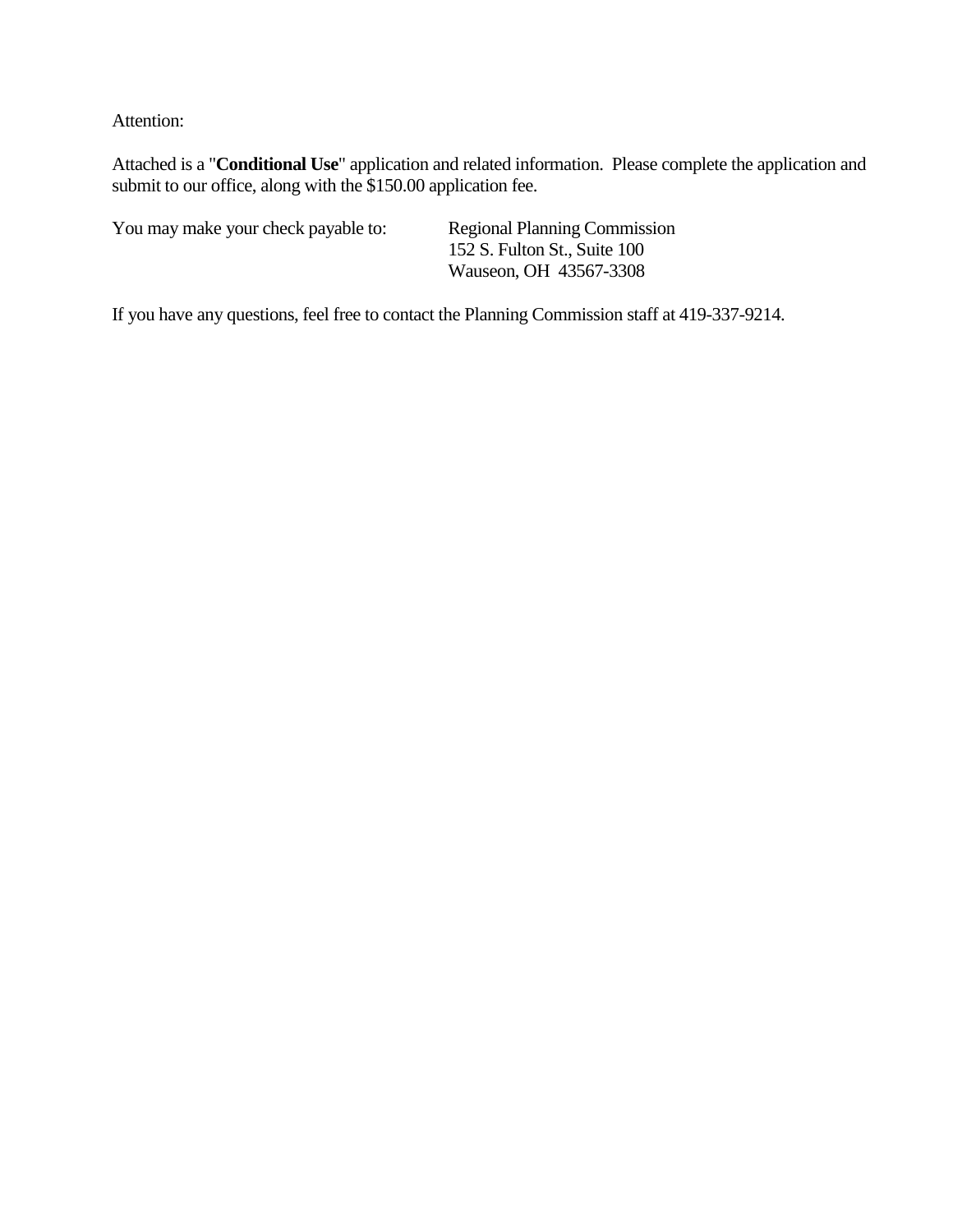Attention:

Attached is a "**Conditional Use**" application and related information. Please complete the application and submit to our office, along with the \$150.00 application fee.

You may make your check payable to: Regional Planning Commission

152 S. Fulton St., Suite 100 Wauseon, OH 43567-3308

If you have any questions, feel free to contact the Planning Commission staff at 419-337-9214.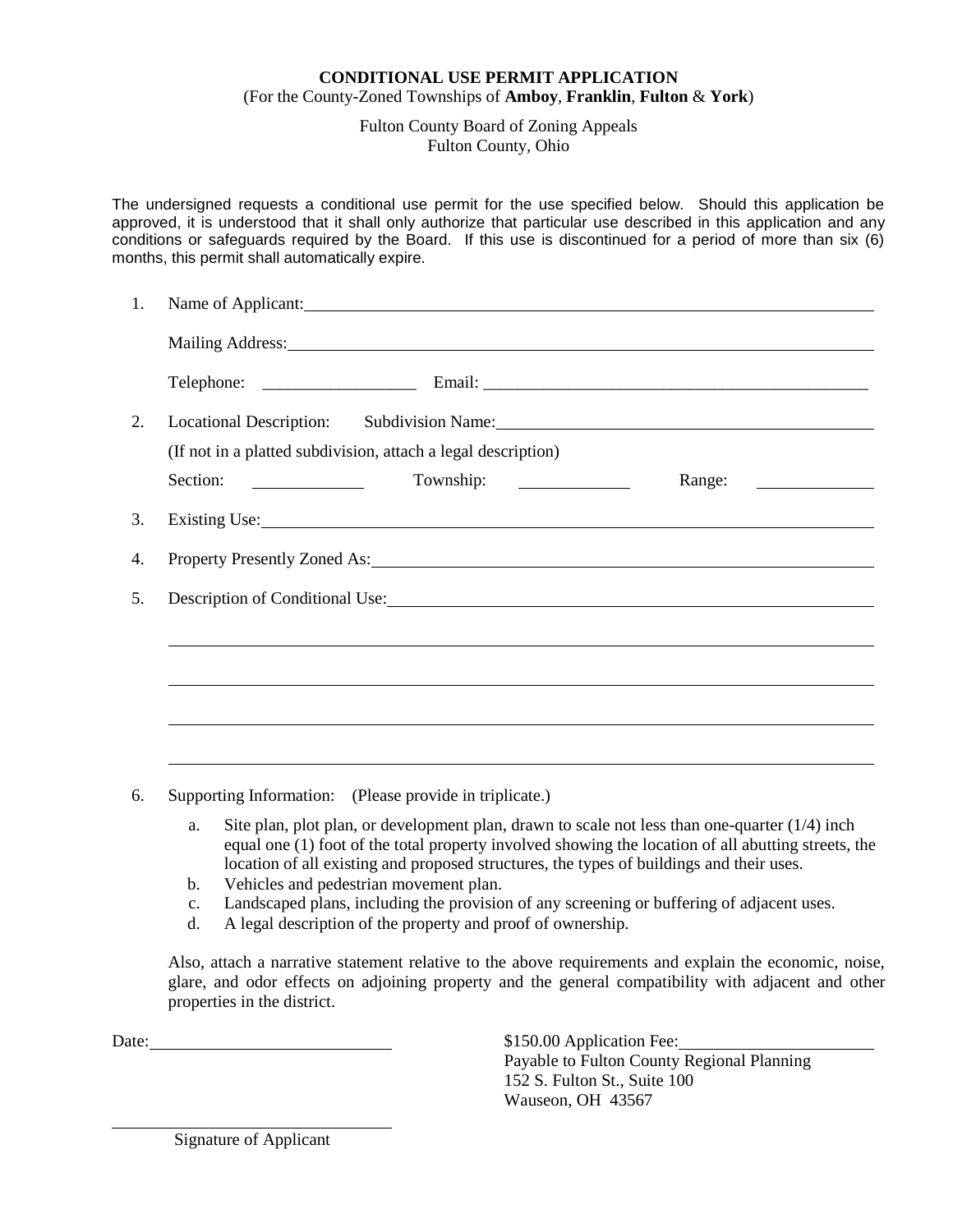### **CONDITIONAL USE PERMIT APPLICATION** (For the County-Zoned Townships of **Amboy**, **Franklin**, **Fulton** & **York**)

Fulton County Board of Zoning Appeals Fulton County, Ohio

The undersigned requests a conditional use permit for the use specified below. Should this application be approved, it is understood that it shall only authorize that particular use described in this application and any conditions or safeguards required by the Board. If this use is discontinued for a period of more than six (6) months, this permit shall automatically expire.

| 1. |                                                                                                                                                                                                                                |  |  |
|----|--------------------------------------------------------------------------------------------------------------------------------------------------------------------------------------------------------------------------------|--|--|
|    |                                                                                                                                                                                                                                |  |  |
|    |                                                                                                                                                                                                                                |  |  |
| 2. |                                                                                                                                                                                                                                |  |  |
|    | (If not in a platted subdivision, attach a legal description)                                                                                                                                                                  |  |  |
|    | Section:                                                                                                                                                                                                                       |  |  |
| 3. | Existing Use:                                                                                                                                                                                                                  |  |  |
| 4. | Property Presently Zoned As: 1997 March 2014 1997 March 2014 1997 March 2014 1997 March 2014 1997 March 2014 1                                                                                                                 |  |  |
| 5. | Description of Conditional Use: 1988 and 2008 and 2008 and 2008 and 2008 and 2008 and 2008 and 2008 and 2008 and 2008 and 2008 and 2008 and 2008 and 2008 and 2008 and 2008 and 2008 and 2008 and 2008 and 2008 and 2008 and 2 |  |  |
|    |                                                                                                                                                                                                                                |  |  |
|    |                                                                                                                                                                                                                                |  |  |
|    |                                                                                                                                                                                                                                |  |  |
|    |                                                                                                                                                                                                                                |  |  |
|    |                                                                                                                                                                                                                                |  |  |

6. Supporting Information: (Please provide in triplicate.)

- a. Site plan, plot plan, or development plan, drawn to scale not less than one-quarter (1/4) inch equal one (1) foot of the total property involved showing the location of all abutting streets, the location of all existing and proposed structures, the types of buildings and their uses.
- b. Vehicles and pedestrian movement plan.
- c. Landscaped plans, including the provision of any screening or buffering of adjacent uses.
- d. A legal description of the property and proof of ownership.

Also, attach a narrative statement relative to the above requirements and explain the economic, noise, glare, and odor effects on adjoining property and the general compatibility with adjacent and other properties in the district.

Date:  $$150.00$  Application Fee:

Payable to Fulton County Regional Planning 152 S. Fulton St., Suite 100 Wauseon, OH 43567

Signature of Applicant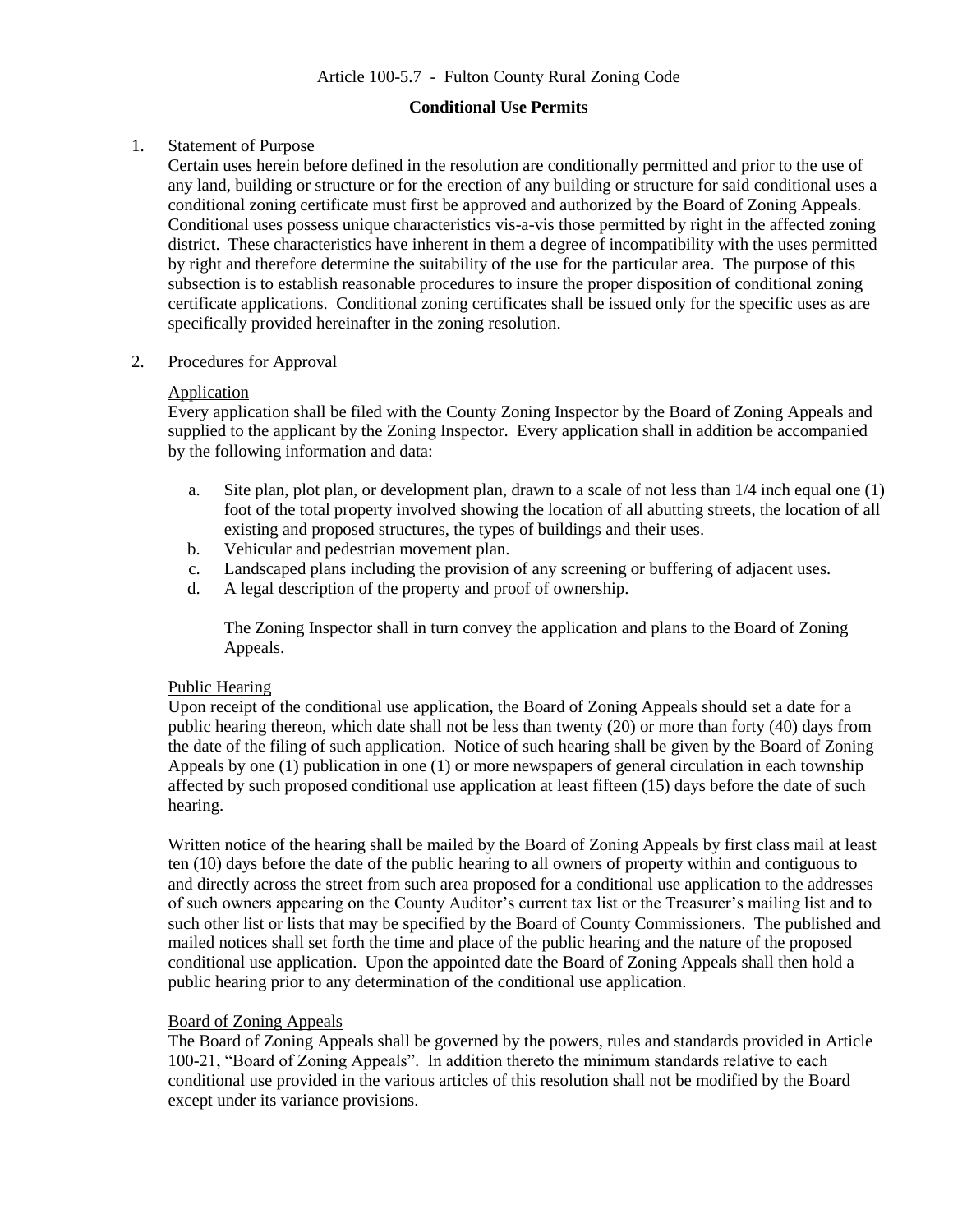# Article 100-5.7 - Fulton County Rural Zoning Code

#### **Conditional Use Permits**

### 1. Statement of Purpose

Certain uses herein before defined in the resolution are conditionally permitted and prior to the use of any land, building or structure or for the erection of any building or structure for said conditional uses a conditional zoning certificate must first be approved and authorized by the Board of Zoning Appeals. Conditional uses possess unique characteristics vis-a-vis those permitted by right in the affected zoning district. These characteristics have inherent in them a degree of incompatibility with the uses permitted by right and therefore determine the suitability of the use for the particular area. The purpose of this subsection is to establish reasonable procedures to insure the proper disposition of conditional zoning certificate applications. Conditional zoning certificates shall be issued only for the specific uses as are specifically provided hereinafter in the zoning resolution.

### 2. Procedures for Approval

#### **Application**

Every application shall be filed with the County Zoning Inspector by the Board of Zoning Appeals and supplied to the applicant by the Zoning Inspector. Every application shall in addition be accompanied by the following information and data:

- a. Site plan, plot plan, or development plan, drawn to a scale of not less than 1/4 inch equal one (1) foot of the total property involved showing the location of all abutting streets, the location of all existing and proposed structures, the types of buildings and their uses.
- b. Vehicular and pedestrian movement plan.
- c. Landscaped plans including the provision of any screening or buffering of adjacent uses.
- d. A legal description of the property and proof of ownership.

The Zoning Inspector shall in turn convey the application and plans to the Board of Zoning Appeals.

# Public Hearing

Upon receipt of the conditional use application, the Board of Zoning Appeals should set a date for a public hearing thereon, which date shall not be less than twenty (20) or more than forty (40) days from the date of the filing of such application. Notice of such hearing shall be given by the Board of Zoning Appeals by one (1) publication in one (1) or more newspapers of general circulation in each township affected by such proposed conditional use application at least fifteen (15) days before the date of such hearing.

Written notice of the hearing shall be mailed by the Board of Zoning Appeals by first class mail at least ten (10) days before the date of the public hearing to all owners of property within and contiguous to and directly across the street from such area proposed for a conditional use application to the addresses of such owners appearing on the County Auditor's current tax list or the Treasurer's mailing list and to such other list or lists that may be specified by the Board of County Commissioners. The published and mailed notices shall set forth the time and place of the public hearing and the nature of the proposed conditional use application. Upon the appointed date the Board of Zoning Appeals shall then hold a public hearing prior to any determination of the conditional use application.

# Board of Zoning Appeals

The Board of Zoning Appeals shall be governed by the powers, rules and standards provided in Article 100-21, "Board of Zoning Appeals". In addition thereto the minimum standards relative to each conditional use provided in the various articles of this resolution shall not be modified by the Board except under its variance provisions.